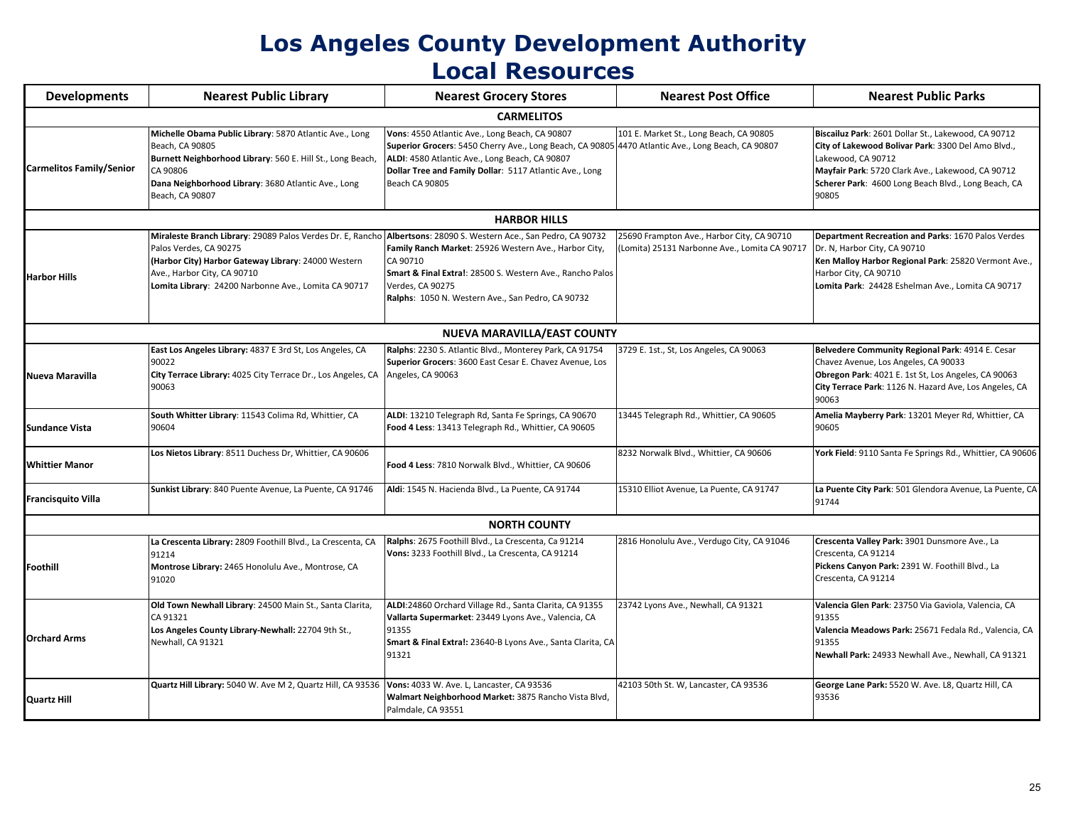## **Los Angeles County Development Authority Local Resources**

| <b>Local Resources</b>          |                                                                                                                                                                                                                                    |                                                                                                                                                                                                                                                                                    |                                                                                             |                                                                                                                                                                                                                                                      |  |  |  |
|---------------------------------|------------------------------------------------------------------------------------------------------------------------------------------------------------------------------------------------------------------------------------|------------------------------------------------------------------------------------------------------------------------------------------------------------------------------------------------------------------------------------------------------------------------------------|---------------------------------------------------------------------------------------------|------------------------------------------------------------------------------------------------------------------------------------------------------------------------------------------------------------------------------------------------------|--|--|--|
| <b>Developments</b>             | <b>Nearest Public Library</b>                                                                                                                                                                                                      | <b>Nearest Grocery Stores</b>                                                                                                                                                                                                                                                      | <b>Nearest Post Office</b>                                                                  | <b>Nearest Public Parks</b>                                                                                                                                                                                                                          |  |  |  |
|                                 |                                                                                                                                                                                                                                    | <b>CARMELITOS</b>                                                                                                                                                                                                                                                                  |                                                                                             |                                                                                                                                                                                                                                                      |  |  |  |
| <b>Carmelitos Family/Senior</b> | Michelle Obama Public Library: 5870 Atlantic Ave., Long<br>Beach, CA 90805<br>Burnett Neighborhood Library: 560 E. Hill St., Long Beach,<br>CA 90806<br>Dana Neighborhood Library: 3680 Atlantic Ave., Long<br>Beach, CA 90807     | Vons: 4550 Atlantic Ave., Long Beach, CA 90807<br>Superior Grocers: 5450 Cherry Ave., Long Beach, CA 90805 4470 Atlantic Ave., Long Beach, CA 90807<br>ALDI: 4580 Atlantic Ave., Long Beach, CA 90807<br>Dollar Tree and Family Dollar: 5117 Atlantic Ave., Long<br>Beach CA 90805 | 101 E. Market St., Long Beach, CA 90805                                                     | Biscailuz Park: 2601 Dollar St., Lakewood, CA 90712<br>City of Lakewood Bolivar Park: 3300 Del Amo Blvd.,<br>Lakewood, CA 90712<br>Mayfair Park: 5720 Clark Ave., Lakewood, CA 90712<br>Scherer Park: 4600 Long Beach Blvd., Long Beach, CA<br>90805 |  |  |  |
|                                 |                                                                                                                                                                                                                                    | <b>HARBOR HILLS</b>                                                                                                                                                                                                                                                                |                                                                                             |                                                                                                                                                                                                                                                      |  |  |  |
| <b>Harbor Hills</b>             | Miraleste Branch Library: 29089 Palos Verdes Dr. E, Rancho<br>Palos Verdes, CA 90275<br>(Harbor City) Harbor Gateway Library: 24000 Western<br>Ave., Harbor City, CA 90710<br>Lomita Library: 24200 Narbonne Ave., Lomita CA 90717 | Albertsons: 28090 S. Western Ace., San Pedro, CA 90732<br>Family Ranch Market: 25926 Western Ave., Harbor City,<br>CA 90710<br>Smart & Final Extra!: 28500 S. Western Ave., Rancho Palos<br>Verdes, CA 90275<br>Ralphs: 1050 N. Western Ave., San Pedro, CA 90732                  | 25690 Frampton Ave., Harbor City, CA 90710<br>(Lomita) 25131 Narbonne Ave., Lomita CA 90717 | Department Recreation and Parks: 1670 Palos Verdes<br>Dr. N, Harbor City, CA 90710<br>Ken Malloy Harbor Regional Park: 25820 Vermont Ave.,<br>Harbor City, CA 90710<br>Lomita Park: 24428 Eshelman Ave., Lomita CA 90717                             |  |  |  |
|                                 |                                                                                                                                                                                                                                    | NUEVA MARAVILLA/EAST COUNTY                                                                                                                                                                                                                                                        |                                                                                             |                                                                                                                                                                                                                                                      |  |  |  |
| Nueva Maravilla                 | East Los Angeles Library: 4837 E 3rd St, Los Angeles, CA<br>90022<br>City Terrace Library: 4025 City Terrace Dr., Los Angeles, CA<br>90063                                                                                         | Ralphs: 2230 S. Atlantic Blvd., Monterey Park, CA 91754<br>Superior Grocers: 3600 East Cesar E. Chavez Avenue, Los<br>Angeles, CA 90063                                                                                                                                            | 3729 E. 1st., St, Los Angeles, CA 90063                                                     | Belvedere Community Regional Park: 4914 E. Cesar<br>Chavez Avenue, Los Angeles, CA 90033<br>Obregon Park: 4021 E. 1st St, Los Angeles, CA 90063<br>City Terrace Park: 1126 N. Hazard Ave, Los Angeles, CA<br>90063                                   |  |  |  |
| <b>Sundance Vista</b>           | South Whitter Library: 11543 Colima Rd, Whittier, CA<br>90604                                                                                                                                                                      | ALDI: 13210 Telegraph Rd, Santa Fe Springs, CA 90670<br>Food 4 Less: 13413 Telegraph Rd., Whittier, CA 90605                                                                                                                                                                       | 13445 Telegraph Rd., Whittier, CA 90605                                                     | Amelia Mayberry Park: 13201 Meyer Rd, Whittier, CA<br>90605                                                                                                                                                                                          |  |  |  |
| <b>Whittier Manor</b>           | Los Nietos Library: 8511 Duchess Dr, Whittier, CA 90606                                                                                                                                                                            | Food 4 Less: 7810 Norwalk Blvd., Whittier, CA 90606                                                                                                                                                                                                                                | 8232 Norwalk Blvd., Whittier, CA 90606                                                      | York Field: 9110 Santa Fe Springs Rd., Whittier, CA 90606                                                                                                                                                                                            |  |  |  |
| <b>Francisquito Villa</b>       | Sunkist Library: 840 Puente Avenue, La Puente, CA 91746                                                                                                                                                                            | Aldi: 1545 N. Hacienda Blvd., La Puente, CA 91744                                                                                                                                                                                                                                  | 15310 Elliot Avenue, La Puente, CA 91747                                                    | La Puente City Park: 501 Glendora Avenue, La Puente, CA<br>91744                                                                                                                                                                                     |  |  |  |
|                                 |                                                                                                                                                                                                                                    | <b>NORTH COUNTY</b>                                                                                                                                                                                                                                                                |                                                                                             |                                                                                                                                                                                                                                                      |  |  |  |
| Foothill                        | La Crescenta Library: 2809 Foothill Blvd., La Crescenta, CA<br>91214<br>Montrose Library: 2465 Honolulu Ave., Montrose, CA<br>91020                                                                                                | Ralphs: 2675 Foothill Blvd., La Crescenta, Ca 91214<br>Vons: 3233 Foothill Blvd., La Crescenta, CA 91214                                                                                                                                                                           | 2816 Honolulu Ave., Verdugo City, CA 91046                                                  | Crescenta Valley Park: 3901 Dunsmore Ave., La<br>Crescenta, CA 91214<br>Pickens Canyon Park: 2391 W. Foothill Blvd., La<br>Crescenta, CA 91214                                                                                                       |  |  |  |
| <b>Orchard Arms</b>             | Old Town Newhall Library: 24500 Main St., Santa Clarita,<br>CA 91321<br>Los Angeles County Library-Newhall: 22704 9th St.,<br>Newhall, CA 91321                                                                                    | ALDI:24860 Orchard Village Rd., Santa Clarita, CA 91355<br>Vallarta Supermarket: 23449 Lyons Ave., Valencia, CA<br>91355<br>Smart & Final Extra!: 23640-B Lyons Ave., Santa Clarita, CA<br>91321                                                                                   | 23742 Lyons Ave., Newhall, CA 91321                                                         | Valencia Glen Park: 23750 Via Gaviola, Valencia, CA<br>91355<br>Valencia Meadows Park: 25671 Fedala Rd., Valencia, CA<br>91355<br>Newhall Park: 24933 Newhall Ave., Newhall, CA 91321                                                                |  |  |  |
| <b>Quartz Hill</b>              | Quartz Hill Library: 5040 W. Ave M 2, Quartz Hill, CA 93536 Vons: 4033 W. Ave. L, Lancaster, CA 93536                                                                                                                              | Walmart Neighborhood Market: 3875 Rancho Vista Blvd,<br>Palmdale, CA 93551                                                                                                                                                                                                         | 42103 50th St. W, Lancaster, CA 93536                                                       | George Lane Park: 5520 W. Ave. L8, Quartz Hill, CA<br>93536                                                                                                                                                                                          |  |  |  |